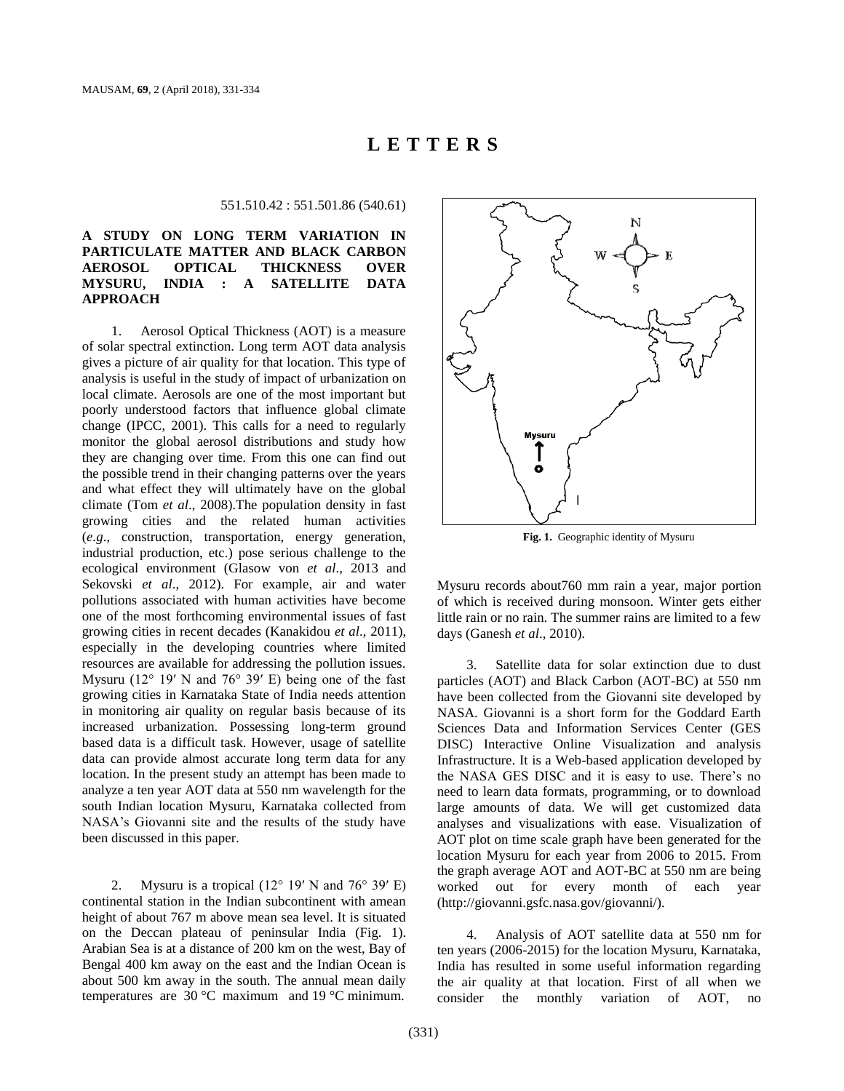# **L E T T E R S**

551.510.42 : 551.501.86 (540.61)

# **A STUDY ON LONG TERM VARIATION IN PARTICULATE MATTER AND BLACK CARBON AEROSOL OPTICAL THICKNESS OVER MYSURU, INDIA : A SATELLITE DATA APPROACH**

1. Aerosol Optical Thickness (AOT) is a measure of solar spectral extinction. Long term AOT data analysis gives a picture of air quality for that location. This type of analysis is useful in the study of impact of urbanization on local climate. Aerosols are one of the most important but poorly understood factors that influence global climate change (IPCC, 2001). This calls for a need to regularly monitor the global aerosol distributions and study how they are changing over time. From this one can find out the possible trend in their changing patterns over the years and what effect they will ultimately have on the global climate (Tom *et al*., 2008).The population density in fast growing cities and the related human activities (*e.g*., construction, transportation, energy generation, industrial production, etc.) pose serious challenge to the ecological environment (Glasow von *et al*., 2013 and Sekovski *et al*., 2012). For example, air and water pollutions associated with human activities have become one of the most forthcoming environmental issues of fast growing cities in recent decades (Kanakidou *et al*., 2011), especially in the developing countries where limited resources are available for addressing the pollution issues. Mysuru ( $12^{\circ}$  19' N and  $76^{\circ}$  39' E) being one of the fast growing cities in Karnataka State of India needs attention in monitoring air quality on regular basis because of its increased urbanization. Possessing long-term ground based data is a difficult task. However, usage of satellite data can provide almost accurate long term data for any location. In the present study an attempt has been made to analyze a ten year AOT data at 550 nm wavelength for the south Indian location Mysuru, Karnataka collected from NASA's Giovanni site and the results of the study have been discussed in this paper.

2. Mysuru is a tropical  $(12^{\circ} 19' N$  and  $76^{\circ} 39' E)$ continental station in the Indian subcontinent with amean height of about 767 m above mean sea level. It is situated on the Deccan plateau of peninsular India (Fig. 1). Arabian Sea is at a distance of 200 km on the west, Bay of Bengal 400 km away on the east and the Indian Ocean is about 500 km away in the south. The annual mean daily temperatures are 30 °C maximum and 19 °C minimum.



**Fig. 1.** Geographic identity of Mysuru

Mysuru records about760 mm rain a year, major portion of which is received during monsoon. Winter gets either little rain or no rain. The summer rains are limited to a few days (Ganesh *et al*., 2010).

Satellite data for solar extinction due to dust particles (AOT) and Black Carbon (AOT-BC) at 550 nm have been collected from the Giovanni site developed by NASA. Giovanni is a short form for the Goddard Earth Sciences Data and Information Services Center (GES DISC) Interactive Online Visualization and analysis Infrastructure. It is a Web-based application developed by the NASA GES DISC and it is easy to use. There's no need to learn data formats, programming, or to download large amounts of data. We will get customized data analyses and visualizations with ease. Visualization of AOT plot on time scale graph have been generated for the location Mysuru for each year from 2006 to 2015. From the graph average AOT and AOT-BC at 550 nm are being worked out for every month of each year (http://giovanni.gsfc.nasa.gov/giovanni/).

4. Analysis of AOT satellite data at 550 nm for ten years (2006-2015) for the location Mysuru, Karnataka, India has resulted in some useful information regarding the air quality at that location. First of all when we consider the monthly variation of AOT, no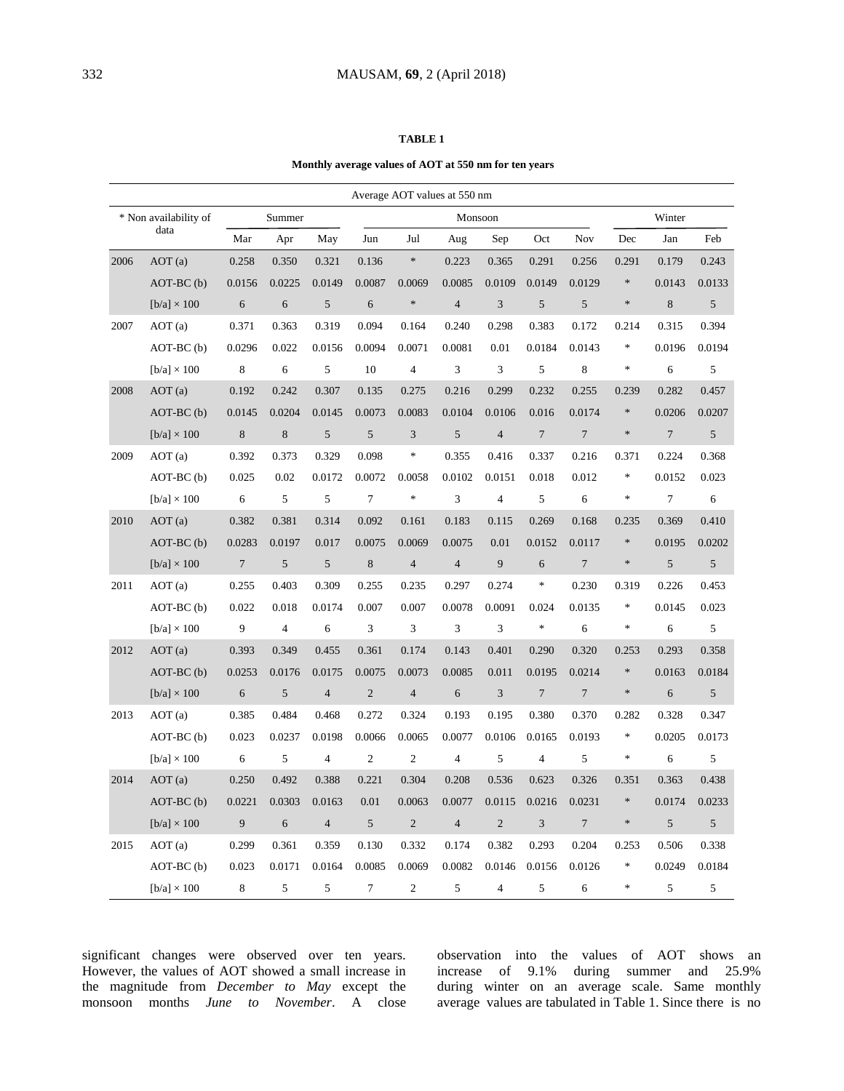#### **TABLE 1**

### **Monthly average values of AOT at 550 nm for ten years**

| Average AOT values at 550 nm  |                        |         |                |                |                             |                             |                         |                |                  |                  |        |                  |            |
|-------------------------------|------------------------|---------|----------------|----------------|-----------------------------|-----------------------------|-------------------------|----------------|------------------|------------------|--------|------------------|------------|
| * Non availability of<br>data |                        | Summer  |                |                | Monsoon                     |                             |                         |                |                  |                  | Winter |                  |            |
|                               |                        | Mar     | Apr            | May            | Jun                         | Jul                         | Aug                     | Sep            | Oct              | Nov              | Dec    | Jan              | Feb        |
| 2006                          | AOT(a)                 | 0.258   | 0.350          | 0.321          | 0.136                       | $\ast$                      | 0.223                   | 0.365          | 0.291            | 0.256            | 0.291  | 0.179            | 0.243      |
|                               | $AOT-BC$ $(b)$         | 0.0156  | 0.0225         | 0.0149         | 0.0087                      | 0.0069                      | 0.0085                  | 0.0109         | 0.0149           | 0.0129           | $\ast$ | 0.0143           | 0.0133     |
|                               | $[b/a] \times 100$     | 6       | 6              | 5              | $\sqrt{6}$                  | $*$                         | $\overline{4}$          | $\sqrt{3}$     | 5                | $\sqrt{5}$       | $\ast$ | $\,8$            | 5          |
| 2007                          | AOT(a)                 | 0.371   | 0.363          | 0.319          | 0.094                       | 0.164                       | 0.240                   | 0.298          | 0.383            | 0.172            | 0.214  | 0.315            | 0.394      |
|                               | $AOT-BC$ (b)           | 0.0296  | 0.022          | 0.0156         | 0.0094                      | 0.0071                      | 0.0081                  | 0.01           | 0.0184           | 0.0143           | $\ast$ | 0.0196           | 0.0194     |
|                               | $[b/a] \times 100$     | 8       | 6              | 5              | 10                          | $\overline{4}$              | 3                       | $\overline{3}$ | 5                | 8                | $\ast$ | 6                | 5          |
| 2008                          | AOT(a)                 | 0.192   | 0.242          | 0.307          | 0.135                       | 0.275                       | 0.216                   | 0.299          | 0.232            | 0.255            | 0.239  | 0.282            | 0.457      |
|                               | $AOT-BC$ (b)           | 0.0145  | 0.0204         | 0.0145         | 0.0073                      | 0.0083                      | 0.0104                  | 0.0106         | 0.016            | 0.0174           | $\ast$ | 0.0206           | 0.0207     |
|                               | [ $b/a$ ] $\times$ 100 | $\,8\,$ | $\,8\,$        | 5              | $\mathfrak s$               | $\mathfrak{Z}$              | 5                       | $\overline{4}$ | $\boldsymbol{7}$ | $\boldsymbol{7}$ | $\ast$ | $\boldsymbol{7}$ | $\sqrt{5}$ |
| 2009                          | AOT(a)                 | 0.392   | 0.373          | 0.329          | 0.098                       | $\ast$                      | 0.355                   | 0.416          | 0.337            | 0.216            | 0.371  | 0.224            | 0.368      |
|                               | $AOT-BC$ (b)           | 0.025   | 0.02           | 0.0172         | 0.0072                      | 0.0058                      | 0.0102                  | 0.0151         | 0.018            | 0.012            | $\ast$ | 0.0152           | 0.023      |
|                               | $[b/a] \times 100$     | 6       | 5              | 5              | $\overline{7}$              | $\ast$                      | 3                       | $\overline{4}$ | 5                | 6                | $\ast$ | $\tau$           | 6          |
| 2010                          | AOT(a)                 | 0.382   | 0.381          | 0.314          | 0.092                       | 0.161                       | 0.183                   | 0.115          | 0.269            | 0.168            | 0.235  | 0.369            | 0.410      |
|                               | $AOT-BC$ (b)           | 0.0283  | 0.0197         | 0.017          | 0.0075                      | 0.0069                      | 0.0075                  | 0.01           | 0.0152           | 0.0117           | $\ast$ | 0.0195           | 0.0202     |
|                               | [ $b/a$ ] $\times$ 100 | $\tau$  | $\sqrt{5}$     | $\sqrt{5}$     | $\,$ 8 $\,$                 | $\overline{\mathcal{L}}$    | $\overline{4}$          | 9              | 6                | $\overline{7}$   | $\ast$ | 5                | 5          |
| 2011                          | AOT(a)                 | 0.255   | 0.403          | 0.309          | 0.255                       | 0.235                       | 0.297                   | 0.274          | $\ast$           | 0.230            | 0.319  | 0.226            | 0.453      |
|                               | $AOT-BC(b)$            | 0.022   | 0.018          | 0.0174         | 0.007                       | 0.007                       | 0.0078                  | 0.0091         | 0.024            | 0.0135           | $\ast$ | 0.0145           | 0.023      |
|                               | $[b/a] \times 100$     | 9       | $\overline{4}$ | $\sqrt{6}$     | $\ensuremath{\mathfrak{Z}}$ | $\ensuremath{\mathfrak{Z}}$ | 3                       | $\overline{3}$ | $\ast$           | 6                | $\ast$ | $\sqrt{6}$       | $\sqrt{5}$ |
| 2012                          | AOT(a)                 | 0.393   | 0.349          | 0.455          | 0.361                       | 0.174                       | 0.143                   | 0.401          | 0.290            | 0.320            | 0.253  | 0.293            | 0.358      |
|                               | $AOT-BC$ $(b)$         | 0.0253  | 0.0176         | 0.0175         | 0.0075                      | 0.0073                      | 0.0085                  | 0.011          | 0.0195           | 0.0214           | $\ast$ | 0.0163           | 0.0184     |
|                               | $[b/a] \times 100$     | 6       | $\sqrt{5}$     | $\overline{4}$ | $\sqrt{2}$                  | $\overline{4}$              | 6                       | $\mathfrak{Z}$ | $\boldsymbol{7}$ | $\tau$           | $\ast$ | 6                | 5          |
| 2013                          | AOT(a)                 | 0.385   | 0.484          | 0.468          | 0.272                       | 0.324                       | 0.193                   | 0.195          | 0.380            | 0.370            | 0.282  | 0.328            | 0.347      |
|                               | $AOT-BC$ (b)           | 0.023   | 0.0237         | 0.0198         | 0.0066                      | 0.0065                      | 0.0077                  | 0.0106         | 0.0165           | 0.0193           | $\ast$ | 0.0205           | 0.0173     |
|                               | [ $b/a$ ] $\times$ 100 | 6       | 5              | $\overline{4}$ | $\sqrt{2}$                  | $\mathfrak{2}$              | $\overline{\mathbf{4}}$ | 5              | $\overline{4}$   | 5                | $\ast$ | 6                | 5          |
| 2014                          | AOT(a)                 | 0.250   | 0.492          | 0.388          | 0.221                       | 0.304                       | 0.208                   | 0.536          | 0.623            | 0.326            | 0.351  | 0.363            | 0.438      |
|                               | $AOT-BC$ $(b)$         | 0.0221  | 0.0303         | 0.0163         | 0.01                        | 0.0063                      | 0.0077                  | 0.0115         | 0.0216           | 0.0231           | $\ast$ | 0.0174           | 0.0233     |
|                               | $[b/a] \times 100$     | 9       | $\sqrt{6}$     | $\overline{4}$ | 5                           | $\sqrt{2}$                  | $\overline{4}$          | $\overline{2}$ | 3                | $\overline{7}$   | $\ast$ | 5                | 5          |
| 2015                          | AOT(a)                 | 0.299   | 0.361          | 0.359          | 0.130                       | 0.332                       | 0.174                   | 0.382          | 0.293            | 0.204            | 0.253  | 0.506            | 0.338      |
|                               | $AOT-BC$ (b)           | 0.023   | 0.0171         | 0.0164         | 0.0085                      | 0.0069                      | 0.0082                  | 0.0146         | 0.0156           | 0.0126           | $\ast$ | 0.0249           | 0.0184     |
|                               | $[b/a] \times 100$     | 8       | 5              | 5              | $\overline{7}$              | $\overline{c}$              | 5                       | $\overline{4}$ | 5                | 6                | $\ast$ | 5                | 5          |

significant changes were observed over ten years. However, the values of AOT showed a small increase in the magnitude from *December to May* except the monsoon months *June to November*. A close observation into the values of AOT shows an increase of 9.1% during summer and 25.9% during winter on an average scale. Same monthly average values are tabulated in Table 1. Since there is no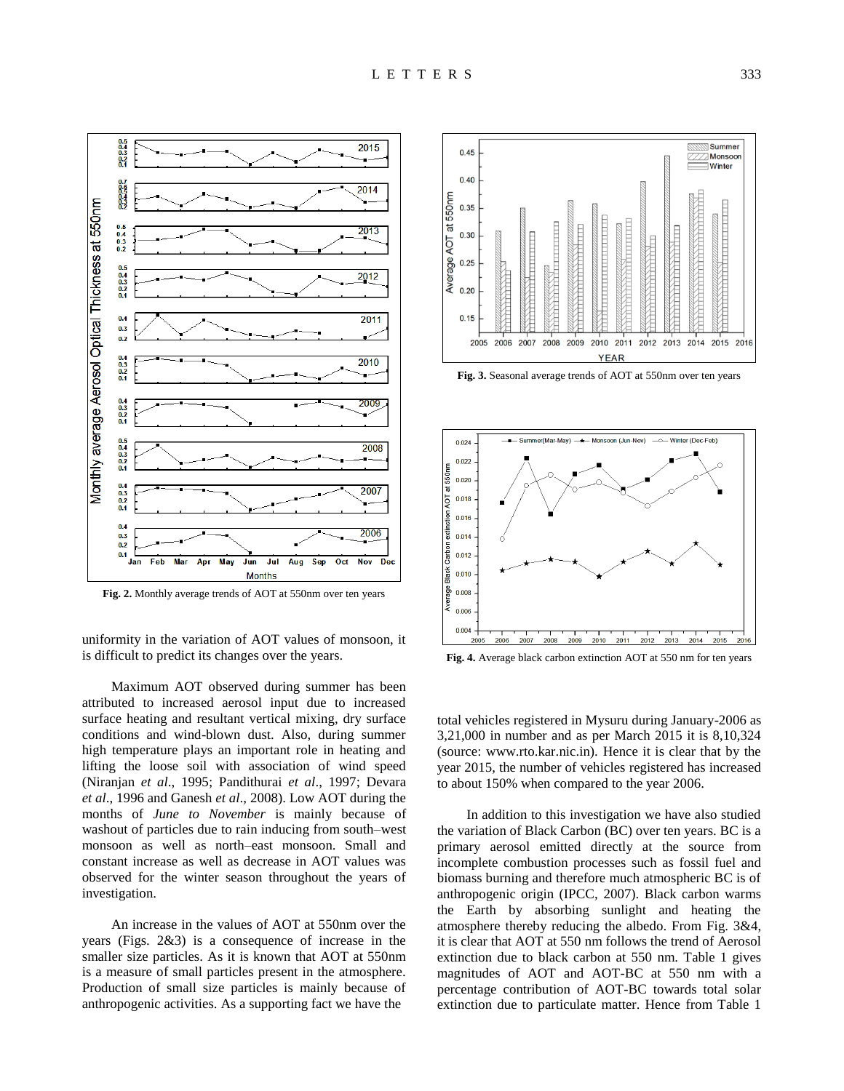

**Fig. 2.** Monthly average trends of AOT at 550nm over ten years

uniformity in the variation of AOT values of monsoon, it is difficult to predict its changes over the years.

Maximum AOT observed during summer has been attributed to increased aerosol input due to increased surface heating and resultant vertical mixing, dry surface conditions and wind-blown dust. Also, during summer high temperature plays an important role in heating and lifting the loose soil with association of wind speed (Niranjan *et al*., 1995; Pandithurai *et al*., 1997; Devara *et al*., 1996 and Ganesh *et al*., 2008). Low AOT during the months of *June to November* is mainly because of washout of particles due to rain inducing from south–west monsoon as well as north–east monsoon. Small and constant increase as well as decrease in AOT values was observed for the winter season throughout the years of investigation.

An increase in the values of AOT at 550nm over the years (Figs. 2&3) is a consequence of increase in the smaller size particles. As it is known that AOT at 550nm is a measure of small particles present in the atmosphere. Production of small size particles is mainly because of anthropogenic activities. As a supporting fact we have the



**Fig. 3.** Seasonal average trends of AOT at 550nm over ten years



**Fig. 4.** Average black carbon extinction AOT at 550 nm for ten years

total vehicles registered in Mysuru during January-2006 as 3,21,000 in number and as per March 2015 it is 8,10,324 (source: www.rto.kar.nic.in). Hence it is clear that by the year 2015, the number of vehicles registered has increased to about 150% when compared to the year 2006.

In addition to this investigation we have also studied the variation of Black Carbon (BC) over ten years. BC is a primary aerosol emitted directly at the source from incomplete combustion processes such as fossil fuel and biomass burning and therefore much atmospheric BC is of anthropogenic origin (IPCC, 2007). Black carbon warms the Earth by absorbing sunlight and heating the atmosphere thereby reducing the albedo. From Fig. 3&4, it is clear that AOT at 550 nm follows the trend of Aerosol extinction due to black carbon at 550 nm. Table 1 gives magnitudes of AOT and AOT-BC at 550 nm with a percentage contribution of AOT-BC towards total solar extinction due to particulate matter. Hence from Table 1